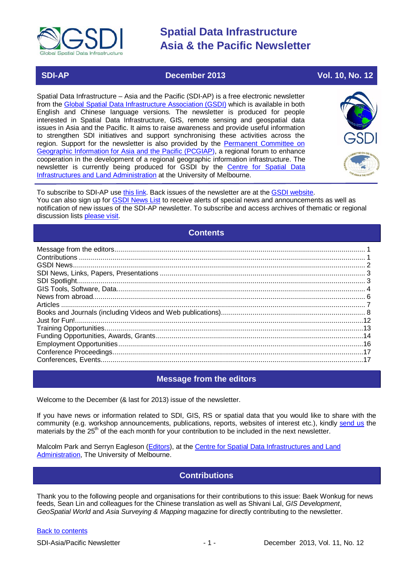

### **SDI-AP December 2013 Vol. 10, No. 12**

Spatial Data Infrastructure – Asia and the Pacific (SDI-AP) is a free electronic newsletter from the [Global Spatial Data Infrastructure Association \(GSDI\)](http://www.gsdi.org/) which is available in both English and Chinese language versions. The newsletter is produced for people interested in Spatial Data Infrastructure, GIS, remote sensing and geospatial data issues in Asia and the Pacific. It aims to raise awareness and provide useful information to strengthen SDI initiatives and support synchronising these activities across the region. Support for the newsletter is also provided by the Permanent Committee on [Geographic Information for Asia and the Pacific \(PCGIAP\)](http://www.pcgiap.org/), a regional forum to enhance cooperation in the development of a regional geographic information infrastructure. The newsletter is currently being produced for GSDI by the [Centre for Spatial Data](http://www.csdila.unimelb.edu.au/)  [Infrastructures and Land Administration](http://www.csdila.unimelb.edu.au/) at the University of Melbourne.



To subscribe to SDI-AP use [this link.](http://www.gsdi.org/newslist/gsdisubscribe.asp) Back issues of the newsletter are at the [GSDI website.](http://www.gsdi.org/newsletters.asp) You can also sign up for [GSDI News List](http://www.gsdi.org/newslist/gsdisubscribe.asp) to receive alerts of special news and announcements as well as notification of new issues of the SDI-AP newsletter. To subscribe and access archives of thematic or regional discussion lists [please visit.](http://www.gsdi.org/discussionlists.asp)

### **Contents**

<span id="page-0-0"></span>

### **Message from the editors**

<span id="page-0-1"></span>Welcome to the December (& last for 2013) issue of the newsletter.

If you have news or information related to SDI, GIS, RS or spatial data that you would like to share with the community (e.g. workshop announcements, publications, reports, websites of interest etc.), kindly [send us](mailto:.SDI-AP@gsdi.org) the materials by the 25<sup>th</sup> of the each month for your contribution to be included in the next newsletter.

<span id="page-0-2"></span>Malcolm Park and Serryn Eagleson [\(Editors\)](mailto:Editor.SDIAP@gmail.com), at the [Centre for Spatial Data Infrastructures and Land](http://www.csdila.unimelb.edu.au/)  [Administration,](http://www.csdila.unimelb.edu.au/) The University of Melbourne.

### **Contributions**

Thank you to the following people and organisations for their contributions to this issue: Baek Wonkug for news feeds, Sean Lin and colleagues for the Chinese translation as well as Shivani Lal, *GIS Development*, *GeoSpatial World* and *Asia Surveying & Mapping* magazine for directly contributing to the newsletter.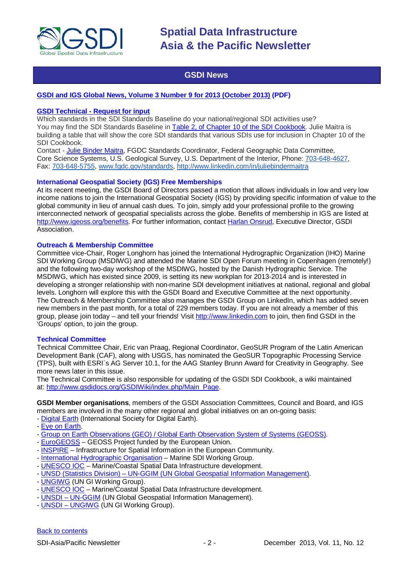

### **GSDI News**

#### <span id="page-1-0"></span>**[GSDI and IGS Global News, Volume 3 Number 9 for 2013 \(October 2013\)](http://www.gsdi.org/newsletters#GSDI) (PDF)**

#### **GSDI Technical - Request for input**

Which standards in the SDI Standards Baseline do your national/regional SDI activities use? You may find the SDI Standards Baseline in [Table 2, of Chapter 10 of the SDI Cookbook.](http://www.gsdidocs.org/GSDIWiki/index.php/Chapter_10#Table_2:_SDI_standards_baseline) Julie Maitra is building a table that will show the core SDI standards that various SDIs use for inclusion in Chapter 10 of the SDI Cookbook.

Contact - [Julie Binder Maitra,](mailto:%20jmaitra@usgs.gov) FGDC Standards Coordinator, Federal Geographic Data Committee, Core Science Systems, U.S. Geological Survey, U.S. Department of the Interior, Phone: [703-648-4627,](tel:703-648-4627) Fax: [703-648-5755,](tel:703-648-5755) [www.fgdc.gov/standards,](http://www.fgdc.gov/standards)<http://www.linkedin.com/in/juliebindermaitra>

#### **International Geospatial Society (IGS) Free Memberships**

At its recent meeting, the GSDI Board of Directors passed a motion that allows individuals in low and very low income nations to join the International Geospatial Society (IGS) by providing specific information of value to the global community in lieu of annual cash dues. To join, simply add your professional profile to the growing interconnected network of geospatial specialists across the globe. Benefits of membership in IGS are listed at [http://www.igeoss.org/benefits.](https://owa.unimelb.edu.au/owa/redir.aspx?C=54c2b4d3973d480282dc7c38384f4204&URL=http%3a%2f%2fwww.igeoss.org%2fbenefits) For further information, contact [Harlan Onsrud,](mailto:onsrud@gsdi.org) Executive Director, GSDI Association.

#### **Outreach & Membership Committee**

Committee vice-Chair, Roger Longhorn has joined the International Hydrographic Organization (IHO) Marine SDI Working Group (MSDIWG) and attended the Marine SDI Open Forum meeting in Copenhagen (remotely!) and the following two-day workshop of the MSDIWG, hosted by the Danish Hydrographic Service. The MSDIWG, which has existed since 2009, is setting its new workplan for 2013-2014 and is interested in developing a stronger relationship with non-marine SDI development initiatives at national, regional and global levels. Longhorn will explore this with the GSDI Board and Executive Committee at the next opportunity. The Outreach & Membership Committee also manages the GSDI Group on LinkedIn, which has added seven new members in the past month, for a total of 229 members today. If you are not already a member of this group, please join today – and tell your friends! Visit [http://www.linkedin.com](https://owa.unimelb.edu.au/owa/redir.aspx?C=rDg2dzQe3UKfwin28aspI4dcf2EJ4c8IKc_jDEPg91nlCdVQBzUX28or6ioXGu07OXWheK19Jyk.&URL=http%3a%2f%2fwww.linkedin.com) to join, then find GSDI in the 'Groups' option, to join the group.

#### **Technical Committee**

Technical Committee Chair, Eric van Praag, Regional Coordinator, GeoSUR Program of the Latin American Development Bank (CAF), along with USGS, has nominated the GeoSUR Topographic Processing Service (TPS), built with ESRI´s AG Server 10.1, for the AAG Stanley Brunn Award for Creativity in Geography. See more news later in this issue.

The Technical Committee is also responsible for updating of the GSDI SDI Cookbook, a wiki maintained at: [http://www.gsdidocs.org/GSDIWiki/index.php/Main\\_Page.](https://owa.unimelb.edu.au/owa/redir.aspx?C=rDg2dzQe3UKfwin28aspI4dcf2EJ4c8IKc_jDEPg91nlCdVQBzUX28or6ioXGu07OXWheK19Jyk.&URL=http%3a%2f%2fwww.gsdidocs.org%2fGSDIWiki%2findex.php%2fMain_Page)

**GSDI Member organisations**, members of the GSDI Association Committees, Council and Board, and IGS members are involved in the many other regional and global initiatives on an on-going basis:

- [Digital Earth](http://www.digitalearth-isde.org/) (International Society for Digital Earth).
- [Eye on Earth.](http://www.eyeonearth.org/)
- [Group on Earth Observations \(GEO\) / Global Earth Observation System of Systems \(GEOSS\).](http://www.earthobservations.org/)
- [EuroGEOSS](http://www.eurogeoss.eu/default.aspx) GEOSS Project funded by the European Union.
- [INSPIRE](http://www.inspire.jrc.ec.europa.eu/) Infrastructure for Spatial Information in the European Community.
- [International Hydrographic Organisation](http://www.iho.int/) Marine SDI Working Group.
- [UNESCO IOC](http://www.iode.org/) Marine/Coastal Spatial Data Infrastructure development.
- UNSD (Statistics Division) [UN-GGIM \(UN Global Geospatial Information Management\).](http://www.ggim.un.org/)
- [UNGIWG](http://www.ungiwg.org/) (UN GI Working Group).
- [UNESCO IOC](http://www.iode.org/) Marine/Coastal Spatial Data Infrastructure development.
- **UNSDI [UN-GGIM](http://www.ggim.un.org/)** (UN Global Geospatial Information Management).
- UNSDI [UNGIWG](http://www.ungiwg.org/) (UN GI Working Group).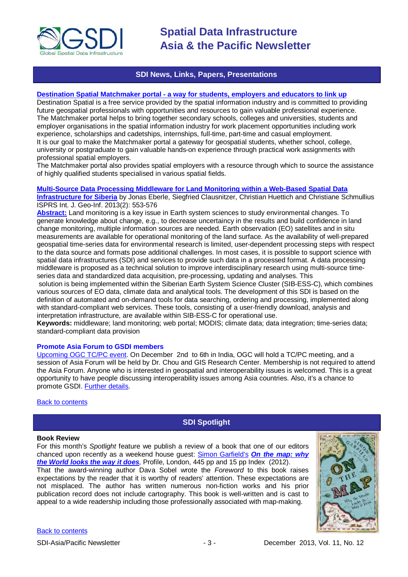

### **SDI News, Links, Papers, Presentations**

#### <span id="page-2-0"></span>**Destination Spatial Matchmaker portal - [a way for students, employers and educators to link up](http://www.destinationspatial-matchmaker.org/index.htm)**

Destination Spatial is a free service provided by the spatial information industry and is committed to providing future geospatial professionals with opportunities and resources to gain valuable professional experience. The Matchmaker portal helps to bring together secondary schools, colleges and universities, students and employer organisations in the spatial information industry for work placement opportunities including work experience, scholarships and cadetships, internships, full-time, part-time and casual employment. It is our goal to make the Matchmaker portal a gateway for geospatial students, whether school, college, university or postgraduate to gain valuable hands-on experience through practical work assignments with professional spatial employers.

The Matchmaker portal also provides spatial employers with a resource through which to source the assistance of highly qualified students specialised in various spatial fields.

#### **[Multi-Source Data Processing Middleware for Land Monitoring within a Web-Based Spatial Data](http://www.mdpi.com/2220-9964/2/3/553/pdf)**

**[Infrastructure for Siberia](http://www.mdpi.com/2220-9964/2/3/553/pdf)** by Jonas Eberle, Siegfried Clausnitzer, Christian Huettich and Christiane Schmullius ISPRS Int. J. Geo-Inf. 2013(2): 553-576

**[Abstract:](http://www.mdpi.com/2220-9964/2/3/553)** Land monitoring is a key issue in Earth system sciences to study environmental changes. To generate knowledge about change, e.g., to decrease uncertaincy in the results and build confidence in land change monitoring, multiple information sources are needed. Earth observation (EO) satellites and in situ measurements are available for operational monitoring of the land surface. As the availability of well-prepared geospatial time-series data for environmental research is limited, user-dependent processing steps with respect to the data source and formats pose additional challenges. In most cases, it is possible to support science with spatial data infrastructures (SDI) and services to provide such data in a processed format. A data processing middleware is proposed as a technical solution to improve interdisciplinary research using multi-source timeseries data and standardized data acquisition, pre-processing, updating and analyses. This

solution is being implemented within the Siberian Earth System Science Cluster (SIB-ESS-C), which combines various sources of EO data, climate data and analytical tools. The development of this SDI is based on the definition of automated and on-demand tools for data searching, ordering and processing, implemented along with standard-compliant web services. These tools, consisting of a user-friendly download, analysis and interpretation infrastructure, are available within SIB-ESS-C for operational use.

**Keywords:** middleware; land monitoring; web portal; MODIS; climate data; data integration; time-series data; standard-compliant data provision

#### **Promote Asia Forum to GSDI members**

[Upcoming OGC TC/PC event.](http://www.ogc.org.tw/) On December 2nd to 6th in India, OGC will hold a TC/PC meeting, and a session of Asia Forum will be held by Dr. Chou and GIS Research Center. Membership is not required to attend the Asia Forum. Anyone who is interested in geospatial and interoperability issues is welcomed. This is a great opportunity to have people discussing interoperability issues among Asia countries. Also, it's a chance to promote GSDI. [Further details.](http://www.ogc.org.tw/en/News/Detail20131203)

#### <span id="page-2-1"></span>[Back to contents](#page-0-0)

### **SDI Spotlight**

#### **Book Review**

For this month's *Spotlight* feature we publish a review of a book that one of our editors chanced upon recently as a weekend house guest: [Simon Garfield's](http://www.simongarfield.com/home.asp) *On the [map: why](http://www.simongarfield.com/pages/books/on_the_map.htm)  [the World looks the way it does](http://www.simongarfield.com/pages/books/on_the_map.htm)*, Profile, London, 445 pp and 15 pp Index (2012). That the award-winning author Dava Sobel wrote the *Foreword* to this book raises expectations by the reader that it is worthy of readers' attention. These expectations are not misplaced. The author has written numerous non-fiction works and his prior publication record does not include cartography. This book is well-written and is cast to appeal to a wide readership including those professionally associated with map-making.



#### [Back to contents](#page-0-0)

SDI-Asia/Pacific Newsletter  $- 3 - 2$  December 2013, Vol. 11, No. 12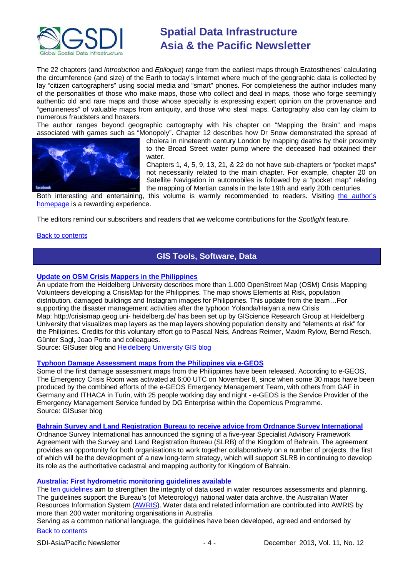

The 22 chapters (and *Introduction* and *Epilogue*) range from the earliest maps through Eratosthenes' calculating the circumference (and size) of the Earth to today's Internet where much of the geographic data is collected by lay "citizen cartographers" using social media and "smart" phones. For completeness the author includes many of the personalities of those who make maps, those who collect and deal in maps, those who forge seemingly authentic old and rare maps and those whose specialty is expressing expert opinion on the provenance and "genuineness" of valuable maps from antiquity, and those who steal maps. Cartography also can lay claim to numerous fraudsters and hoaxers.

The author ranges beyond geographic cartography with his chapter on "Mapping the Brain" and maps associated with games such as "Monopoly". Chapter 12 describes how Dr Snow demonstrated the spread of



cholera in nineteenth century London by mapping deaths by their proximity to the Broad Street water pump where the deceased had obtained their water.

Chapters 1, 4, 5, 9, 13, 21, & 22 do not have sub-chapters or "pocket maps" not necessarily related to the main chapter. For example, chapter 20 on Satellite Navigation in automobiles is followed by a "pocket map" relating the mapping of Martian canals in the late 19th and early 20th centuries.

Both interesting and entertaining, this volume is warmly recommended to readers. Visiting the author's [homepage](http://www.simongarfield.com/home.asp) is a rewarding experience.

The editors remind our subscribers and readers that we welcome contributions for the *Spotlight* feature.

#### <span id="page-3-0"></span>**[Back to contents](#page-0-0)**

### **GIS Tools, Software, Data**

#### **[Update on OSM Crisis Mappers in the Philippines](http://blog.gisuser.com/2013/11/18/update-on-osm-crisis-mappers-in-the-philippines/)**

An update from the Heidelberg University describes more than 1.000 OpenStreet Map (OSM) Crisis Mapping Volunteers developing a CrisisMap for the Philippines. The map shows Elements at Risk, population distribution, damaged buildings and Instagram images for Philippines. This update from the team…For supporting the disaster management activities after the typhoon Yolanda/Haiyan a new Crisis Map: http://crisismap.geog.uni- heidelberg.de/ has been set up by GIScience Research Group at Heidelberg University that visualizes map layers as the map layers showing population density and "elements at risk" for the Philipines. Credits for this voluntary effort go to Pascal Neis, Andreas Reimer, Maxim Rylow, Bernd Resch, Günter Sagl, Joao Porto and colleagues.

Source: GISuser blog an[d Heidelberg University GIS blog](http://giscienceblog.uni-hd.de/tag/crisis-mapping/)

#### **[Typhoon Damage Assessment maps from the Philippines via e-GEOS](http://blog.gisuser.com/2013/11/20/haiyan-typhoon-damage-assessment-maps-from-the-philippines-via-e-geos/)**

Some of the first damage assessment maps from the Philippines have been released. According to e-GEOS, The Emergency Crisis Room was activated at 6:00 UTC on November 8, since when some 30 maps have been produced by the combined efforts of the e-GEOS Emergency Management Team, with others from GAF in Germany and ITHACA in Turin, with 25 people working day and night - e-GEOS is the Service Provider of the Emergency Management Service funded by DG Enterprise within the Copernicus Programme. Source: GISuser blog

#### **[Bahrain Survey and Land Registration Bureau to receive advice from Ordnance Survey International](http://www.ordnancesurvey.co.uk/about/news/2013/ordnance-survey-international-to-provide-strategic-guidance-to-kingdom-of-bahrain.html)**

Ordnance Survey International has announced the signing of a five-year Specialist Advisory Framework Agreement with the Survey and Land Registration Bureau (SLRB) of the Kingdom of Bahrain. The agreement provides an opportunity for both organisations to work together collaboratively on a number of projects, the first of which will be the development of a new long-term strategy, which will support SLRB in continuing to develop its role as the authoritative cadastral and mapping authority for Kingdom of Bahrain.

#### **[Australia: First hydrometric monitoring guidelines available](http://www.bom.gov.au/water/news/article.php?id=107)**

The [ten guidelines](http://www.bom.gov.au/water/standards/niGuidelinesHyd.shtml) aim to strengthen the integrity of data used in water resources assessments and planning. The guidelines support the Bureau's (of Meteorology) national water data archive, the Australian Water Resources Information System [\(AWRIS\)](http://www.bom.gov.au/water/about/wip/awris.shtml). Water data and related information are contributed into AWRIS by more than 200 water monitoring organisations in Australia.

[Back to contents](#page-0-0) Serving as a common national language, the guidelines have been developed, agreed and endorsed by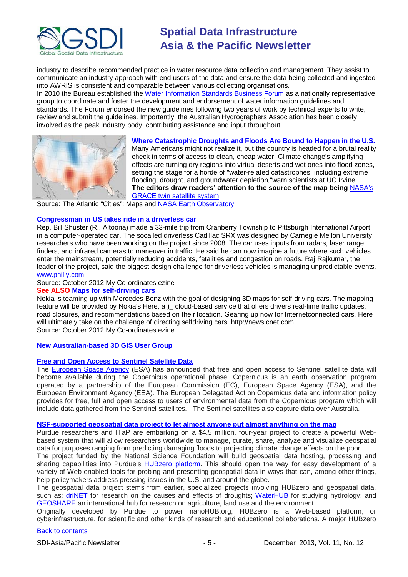

industry to describe recommended practice in water resource data collection and management. They assist to communicate an industry approach with end users of the data and ensure the data being collected and ingested into AWRIS is consistent and comparable between various collecting organisations.

In 2010 the Bureau established the [Water Information Standards Business Forum](http://www.bom.gov.au/water/standards/sbforum/index.shtml) as a nationally representative group to coordinate and foster the development and endorsement of water information guidelines and standards. The Forum endorsed the new guidelines following two years of work by technical experts to write, review and submit the quidelines. Importantly, the Australian Hydrographers Association has been closely involved as the peak industry body, contributing assistance and input throughout.



**[Where Catastrophic Droughts and Floods Are Bound to Happen in the U.S.](http://www.theatlanticcities.com/neighborhoods/2013/11/where-catastrophic-droughts-and-floods-are-bound-happen-america/7439/)** Many Americans might not realize it, but the country is headed for a brutal reality check in terms of access to clean, cheap water. Climate change's amplifying effects are turning dry regions into virtual deserts and wet ones into flood zones, setting the stage for a horde of "water-related catastrophes, including extreme flooding, drought, and groundwater depletion,"warn scientists at UC Irvine. **The editors draw readers' attention to the source of the map being** [NASA's](http://www.nasa.gov/mission_pages/Grace/#.Una1S3Dn5vB)  [GRACE twin satellite system](http://www.nasa.gov/mission_pages/Grace/#.Una1S3Dn5vB)

Source: The Atlantic "Cities": Maps and [NASA Earth Observatory](http://earthobservatory.nasa.gov/IOTD/view.php?id=82266&eocn=home&eoci=iotd_title)

#### **[Congressman in US takes ride in a driverless car](http://mycoordinates.org/lbs-50/#2)**

Rep. Bill Shuster (R., Altoona) made a 33-mile trip from Cranberry Township to Pittsburgh International Airport in a computer-operated car. The socalled driverless Cadillac SRX was designed by Carnegie Mellon University researchers who have been working on the project since 2008. The car uses inputs from radars, laser range finders, and infrared cameras to maneuver in traffic. He said he can now imagine a future where such vehicles enter the mainstream, potentially reducing accidents, fatalities and congestion on roads. Raj Rajkumar, the leader of the project, said the biggest design challenge for driverless vehicles is managing unpredictable events. [www.philly.com](http://www.philly.com/)

Source: October 2012 My Co-ordinates ezine

#### **See ALSO [Maps for self-driving](http://mycoordinates.org/lbs-50/#2) cars**

Nokia is teaming up with Mercedes-Benz with the goal of designing 3D maps for self-driving cars. The mapping feature will be provided by Nokia's Here, a )\_ cloud-based service that offers drivers real-time traffic updates, road closures, and recommendations based on their location. Gearing up now for Internetconnected cars, Here will ultimately take on the challenge of directing selfdriving cars. http://news.cnet.com Source: October 2012 My Co-ordinates ezine

#### **[New Australian-based 3D GIS User Group](http://www.3dgis.com.au/website/)**

#### **[Free and Open Access to Sentinel Satellite Data](http://www.gislounge.com/free-open-access-sentinel-satellite-data/)**

The [European Space Agency](http://gmesdata.esa.int/web/gsc/home) (ESA) has announced that free and open access to Sentinel satellite data will become available during the Copernicus operational phase. Copernicus is an earth observation program operated by a partnership of the European Commission (EC), European Space Agency (ESA), and the European Environment Agency (EEA). The European Delegated Act on Copernicus data and information policy provides for free, full and open access to users of environmental data from the Copernicus program which will include data gathered from the Sentinel satellites. The Sentinel satellites also capture data over Australia.

#### **[NSF-supported geospatial data project to let almost anyone put almost anything on the map](http://www.itap.purdue.edu/newsroom/news/131111_hubzero_geospatial.html)**

Purdue researchers and ITaP are embarking on a \$4.5 million, four-year project to create a powerful Webbased system that will allow researchers worldwide to manage, curate, share, analyze and visualize geospatial data for purposes ranging from predicting damaging floods to projecting climate change effects on the poor.

The project funded by the National Science Foundation will build geospatial data hosting, processing and sharing capabilities into Purdue's [HUBzero platform.](http://hubzero.org/) This should open the way for easy development of a variety of Web-enabled tools for probing and presenting geospatial data in ways that can, among other things, help policymakers address pressing issues in the U.S. and around the globe.

The geospatial data project stems from earlier, specialized projects involving HUBzero and geospatial data, such as: [driNET](https://drinet.hubzero.org/) for research on the causes and effects of droughts; [WaterHUB](http://water-hub.org/) for studying hydrology; and [GEOSHARE](https://geoshareproject.org/) an international hub for research on agriculture, land use and the environment.

Originally developed by Purdue to power nanoHUB.org, HUBzero is a Web-based platform, or cyberinfrastructure, for scientific and other kinds of research and educational collaborations. A major HUBzero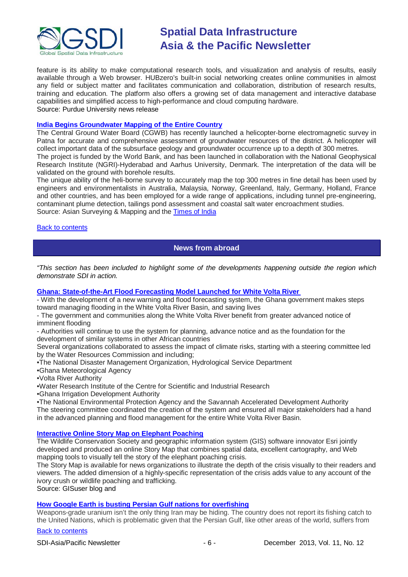

feature is its ability to make computational research tools, and visualization and analysis of results, easily available through a Web browser. HUBzero's built-in social networking creates online communities in almost any field or subject matter and facilitates communication and collaboration, distribution of research results, training and education. The platform also offers a growing set of data management and interactive database capabilities and simplified access to high-performance and cloud computing hardware. Source: Purdue University news release

#### **[India Begins Groundwater Mapping of the Entire Country](http://www.asmmag.com/2012-12-30-14-40-18/feature/6086-india-begins-groundwater-mapping-of-the-entire-country.html)**

The Central Ground Water Board (CGWB) has recently launched a helicopter-borne electromagnetic survey in Patna for accurate and comprehensive assessment of groundwater resources of the district. A helicopter will collect important data of the subsurface geology and groundwater occurrence up to a depth of 300 metres. The project is funded by the World Bank, and has been launched in collaboration with the National Geophysical Research Institute (NGRI)-Hyderabad and Aarhus University, Denmark. The interpretation of the data will be validated on the ground with borehole results.

The unique ability of the heli-borne survey to accurately map the top 300 metres in fine detail has been used by engineers and environmentalists in Australia, Malaysia, Norway, Greenland, Italy, Germany, Holland, France and other countries, and has been employed for a wide range of applications, including tunnel pre-engineering, contaminant plume detection, tailings pond assessment and coastal salt water encroachment studies. Source: Asian Surveying & Mapping and the [Times of India](http://articles.timesofindia.indiatimes.com/2013-11-27/patna/44518971_1_groundwater-resources-aquifers-cgwb)

<span id="page-5-0"></span>**[Back to contents](#page-0-0)** 

## **News from abroad**

*"This section has been included to highlight some of the developments happening outside the region which demonstrate SDI in action.*

#### **Ghana: State-of-the-Art [Flood Forecasting Model Launched for White Volta River](http://www.worldbank.org/en/news/feature/2013/10/21/state-of-the-art-flood-forecasting-model-launched-for-white-volta-river-in-ghana)**

- With the development of a new warning and flood forecasting system, the Ghana government makes steps toward managing flooding in the White Volta River Basin, and saving lives

- The government and communities along the White Volta River benefit from greater advanced notice of imminent flooding

- Authorities will continue to use the system for planning, advance notice and as the foundation for the development of similar systems in other African countries

Several organizations collaborated to assess the impact of climate risks, starting with a steering committee led by the Water Resources Commission and including;

•The National Disaster Management Organization, Hydrological Service Department

•Ghana Meteorological Agency

•Volta River Authority

•Water Research Institute of the Centre for Scientific and Industrial Research

•Ghana Irrigation Development Authority

•The National Environmental Protection Agency and the Savannah Accelerated Development Authority

The steering committee coordinated the creation of the system and ensured all major stakeholders had a hand in the advanced planning and flood management for the entire White Volta River Basin.

### **[Interactive Online Story Map on Elephant Poaching](http://www.gisuser.com/content/view/31467/2/)**

The Wildlife Conservation Society and geographic information system (GIS) software innovator Esri jointly developed and produced an online Story Map that combines spatial data, excellent cartography, and Web mapping tools to visually tell the story of the elephant poaching crisis.

The Story Map is available for news organizations to illustrate the depth of the crisis visually to their readers and viewers. The added dimension of a highly-specific representation of the crisis adds value to any account of the ivory crush or wildlife poaching and trafficking.

Source: GISuser blog and

#### **[How Google Earth is busting Persian Gulf nations for overfishing](http://qz.com/151346/how-google-earth-is-busting-persian-gulf-nations-for-overfishing/)**

Weapons-grade uranium isn't the only thing Iran may be hiding. The country does not report its fishing catch to the United Nations, which is problematic given that the Persian Gulf, like other areas of the world, suffers from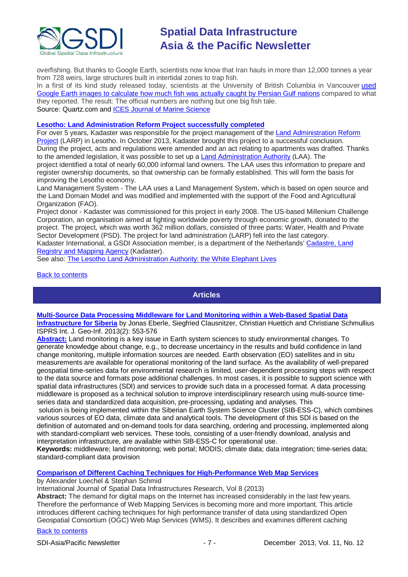

overfishing. But thanks to Google Earth, scientists now know that Iran hauls in more than 12,000 tonnes a year from 728 weirs, large structures built in intertidal zones to trap fish.

In a first of its kind study released today, scientists at the University of British Columbia in Vancouver used [Google Earth images to calculate how much fish was actually caught by Persian Gulf nations](http://icesjms.oxfordjournals.org/content/early/2013/11/21/icesjms.fst178.full.pdf?keytype=ref&ijkey=qEBtzuYgs0L64zP) compared to what they reported. The result: The official numbers are nothing but one big fish tale. Source: Quartz.com and [ICES Journal of Marine Science](http://icesjms.oxfordjournals.org/content/early/2013/11/21/icesjms.fst178.full.pdf)

#### **[Lesotho: Land Administration Reform Project successfully completed](http://www.kadaster.nl/web/Nieuws/Bericht/Land-project-Lesotho-successfully-completed.htm)**

For over 5 years, Kadaster was responsible for the project management of the [Land Administration Reform](http://www.mca.org.ls/projects/land.php)  [Project](http://www.mca.org.ls/projects/land.php) (LARP) in Lesotho. In October 2013, Kadaster brought this project to a successful conclusion. During the project, acts and regulations were amended and an act relating to apartments was drafted. Thanks to the amended legislation, it was possible to set up a [Land Administration Authority](http://www.laa.org.ls/) (LAA). The project identified a total of nearly 60,000 informal land owners. The LAA uses this information to prepare and register ownership documents, so that ownership can be formally established. This will form the basis for improving the Lesotho economy.

Land Management System - The LAA uses a Land Management System, which is based on open source and the Land Domain Model and was modified and implemented with the support of the Food and Agricultural Organization (FAO).

Project donor - Kadaster was commissioned for this project in early 2008. The US-based Millenium Challenge Corporation, an organisation aimed at fighting worldwide poverty through economic growth, donated to the project. The project, which was worth 362 million dollars, consisted of three parts: Water, Health and Private Sector Development (PSD). The project for land administration (LARP) fell into the last category.

Kadaster International, a GSDI Association member, is a department of the Netherlands' [Cadastre, Land](http://www.kadaster.nl/)  [Registry and Mapping Agency](http://www.kadaster.nl/) (Kadaster).

See also: [The Lesotho Land Administration Authority: the White Elephant Lives](http://www.conftool.com/landandpoverty2013/index.php/Johnson-304_paper.pdf?page=downloadPaper&filename=Johnson-304_paper.pdf&form_id=304&form_version=final)

#### <span id="page-6-0"></span>[Back to contents](#page-0-0)

#### **Articles**

#### **[Multi-Source Data Processing Middleware for Land Monitoring within a Web-Based Spatial Data](http://www.mdpi.com/2220-9964/2/3/553/pdf)**

**[Infrastructure for Siberia](http://www.mdpi.com/2220-9964/2/3/553/pdf)** by Jonas Eberle, Siegfried Clausnitzer, Christian Huettich and Christiane Schmullius ISPRS Int. J. Geo-Inf. 2013(2): 553-576

**[Abstract:](http://www.mdpi.com/2220-9964/2/3/553)** Land monitoring is a key issue in Earth system sciences to study environmental changes. To generate knowledge about change, e.g., to decrease uncertaincy in the results and build confidence in land change monitoring, multiple information sources are needed. Earth observation (EO) satellites and in situ measurements are available for operational monitoring of the land surface. As the availability of well-prepared geospatial time-series data for environmental research is limited, user-dependent processing steps with respect to the data source and formats pose additional challenges. In most cases, it is possible to support science with spatial data infrastructures (SDI) and services to provide such data in a processed format. A data processing middleware is proposed as a technical solution to improve interdisciplinary research using multi-source timeseries data and standardized data acquisition, pre-processing, updating and analyses. This solution is being implemented within the Siberian Earth System Science Cluster (SIB-ESS-C), which combines

various sources of EO data, climate data and analytical tools. The development of this SDI is based on the definition of automated and on-demand tools for data searching, ordering and processing, implemented along with standard-compliant web services. These tools, consisting of a user-friendly download, analysis and interpretation infrastructure, are available within SIB-ESS-C for operational use.

**Keywords:** middleware; land monitoring; web portal; MODIS; climate data; data integration; time-series data; standard-compliant data provision

#### **[Comparison of Different Caching Techniques for High-Performance Web Map Services](http://ijsdir.jrc.ec.europa.eu/index.php/ijsdir/article/view/316)**

by Alexander Loechel & Stephan Schmid

International Journal of Spatial Data Infrastructures Research, Vol 8 (2013)

**Abstract:** The demand for digital maps on the Internet has increased considerably in the last few years. Therefore the performance of Web Mapping Services is becoming more and more important. This article introduces different caching techniques for high performance transfer of data using standardized Open Geospatial Consortium (OGC) Web Map Services (WMS). It describes and examines different caching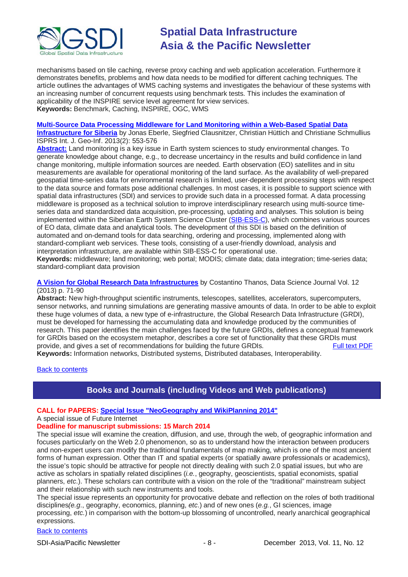

mechanisms based on tile caching, reverse proxy caching and web application acceleration. Furthermore it demonstrates benefits, problems and how data needs to be modified for different caching techniques. The article outlines the advantages of WMS caching systems and investigates the behaviour of these systems with an increasing number of concurrent requests using benchmark tests. This includes the examination of applicability of the INSPIRE service level agreement for view services. **Keywords:** Benchmark, Caching, INSPIRE, OGC, WMS

#### **[Multi-Source Data Processing Middleware for Land Monitoring within a Web-Based Spatial Data](http://www.mdpi.com/2220-9964/2/3/553/pdf)**

**[Infrastructure for Siberia](http://www.mdpi.com/2220-9964/2/3/553/pdf)** by Jonas Eberle, Siegfried Clausnitzer, Christian Hüttich and Christiane Schmullius ISPRS Int. J. Geo-Inf. 2013(2): 553-576

**[Abstract:](http://www.mdpi.com/2220-9964/2/3/553)** Land monitoring is a key issue in Earth system sciences to study environmental changes. To generate knowledge about change, e.g., to decrease uncertaincy in the results and build confidence in land change monitoring, multiple information sources are needed. Earth observation (EO) satellites and in situ measurements are available for operational monitoring of the land surface. As the availability of well-prepared geospatial time-series data for environmental research is limited, user-dependent processing steps with respect to the data source and formats pose additional challenges. In most cases, it is possible to support science with spatial data infrastructures (SDI) and services to provide such data in a processed format. A data processing middleware is proposed as a technical solution to improve interdisciplinary research using multi-source timeseries data and standardized data acquisition, pre-processing, updating and analyses. This solution is being implemented within the Siberian Earth System Science Cluster [\(SIB-ESS-C\)](http://www.sibessc.uni-jena.de/), which combines various sources of EO data, climate data and analytical tools. The development of this SDI is based on the definition of automated and on-demand tools for data searching, ordering and processing, implemented along with standard-compliant web services. These tools, consisting of a user-friendly download, analysis and interpretation infrastructure, are available within SIB-ESS-C for operational use.

**Keywords:** middleware; land monitoring; web portal; MODIS; climate data; data integration; time-series data; standard-compliant data provision

#### **[A Vision for Global Research Data Infrastructures](https://www.jstage.jst.go.jp/article/dsj/12/0/12_12-043/_article)** by Costantino Thanos, Data Science Journal Vol. 12 (2013) p. 71-90

**Abstract:** New high-throughput scientific instruments, telescopes, satellites, accelerators, supercomputers, sensor networks, and running simulations are generating massive amounts of data. In order to be able to exploit these huge volumes of data, a new type of e-infrastructure, the Global Research Data Infrastructure (GRDI), must be developed for harnessing the accumulating data and knowledge produced by the communities of research. This paper identifies the main challenges faced by the future GRDIs, defines a conceptual framework for GRDIs based on the ecosystem metaphor, describes a core set of functionality that these GRDIs must provide, and gives a set of recommendations for building the future GRDIs. [Full text PDF](https://www.jstage.jst.go.jp/article/dsj/12/0/12_12-043/_pdf)

**Keywords:** Information networks, Distributed systems, Distributed databases, Interoperability.

<span id="page-7-0"></span>[Back to contents](#page-0-0)

# **Books and Journals (including Videos and Web publications)**

#### **CALL for PAPERS: [Special Issue "NeoGeography and WikiPlanning 2014"](http://www.mdpi.com/journal/futureinternet/special_issues/neogeography-wikiplanning-2014)**

#### A special issue of Future Internet

### **Deadline for manuscript submissions: 15 March 2014**

The special issue will examine the creation, diffusion, and use, through the web, of geographic information and focuses particularly on the Web 2.0 phenomenon, so as to understand how the interaction between producers and non-expert users can modify the traditional fundamentals of map making, which is one of the most ancient forms of human expression. Other than IT and spatial experts (or spatially aware professionals or academics), the issue's topic should be attractive for people not directly dealing with such 2.0 spatial issues, but who are active as scholars in spatially related disciplines (*i.e.*, geography, geoscientists, spatial economists, spatial planners, *etc*.). These scholars can contribute with a vision on the role of the "traditional" mainstream subject and their relationship with such new instruments and tools.

The special issue represents an opportunity for provocative debate and reflection on the roles of both traditional disciplines*(e.g*., geography, economics, planning, *etc*.) and of new ones (*e.g.*, GI sciences, image processing, *etc.*) in comparison with the bottom-up blossoming of uncontrolled, nearly anarchical geographical expressions.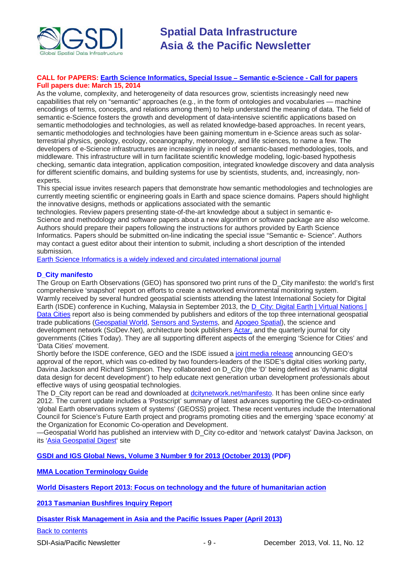

#### **CALL for PAPERS: [Earth Science Informatics, Special Issue](http://tw.rpi.edu/media/latest/ESIN_SeS_CFP.pdf)** ‒ **Semantic e-Science - Call for papers Full papers due: March 15, 2014**

As the volume, complexity, and heterogeneity of data resources grow, scientists increasingly need new capabilities that rely on "semantic" approaches (e.g., in the form of ontologies and vocabularies — machine encodings of terms, concepts, and relations among them) to help understand the meaning of data. The field of semantic e-Science fosters the growth and development of data-intensive scientific applications based on semantic methodologies and technologies, as well as related knowledge-based approaches. In recent years, semantic methodologies and technologies have been gaining momentum in e-Science areas such as solarterrestrial physics, geology, ecology, oceanography, meteorology, and life sciences, to name a few. The developers of e-Science infrastructures are increasingly in need of semantic-based methodologies, tools, and middleware. This infrastructure will in turn facilitate scientific knowledge modeling, logic-based hypothesis checking, semantic data integration, application composition, integrated knowledge discovery and data analysis for different scientific domains, and building systems for use by scientists, students, and, increasingly, nonexperts.

This special issue invites research papers that demonstrate how semantic methodologies and technologies are currently meeting scientific or engineering goals in Earth and space science domains. Papers should highlight the innovative designs, methods or applications associated with the semantic

technologies. Review papers presenting state-of-the-art knowledge about a subject in semantic e-Science and methodology and software papers about a new algorithm or software package are also welcome. Authors should prepare their papers following the instructions for authors provided by Earth Science Informatics. Papers should be submitted on-line indicating the special issue "Semantic e- Science". Authors may contact a guest editor about their intention to submit, including a short description of the intended submission.

[Earth Science Informatics is a widely indexed and circulated international journal](http://www.springer.com/earth+sciences+and+geography/journal/12145)

### **D\_City manifesto**

The Group on Earth Observations (GEO) has sponsored two print runs of the D\_City manifesto: the world's first comprehensive 'snapshot' report on efforts to create a networked environmental monitoring system. Warmly received by several hundred geospatial scientists attending the latest International Society for Digital Earth (ISDE) conference in Kuching, Malaysia in September 2013, the [D\\_City: Digital](http://dcitynetwork.net/manifesto) Earth | Virtual Nations | Data [Cities](http://dcitynetwork.net/manifesto) report also is being commended by publishers and editors of the top three international geospatial trade publications [\(Geospatial](http://www.geospatialworld.net/Company/PView.aspx?id=707_Article) World, [Sensors and Systems,](http://www.sensorsandsystems.com/index.php?Itemid=1502&catid=53&id=31311&option=com_content&view=article#sthash.LCjEjTtP.dpuf) and [Apogeo](http://apogeospatial.com/images/apogeo_su2013_lowres.pdf) Spatial), the science and development network (SciDev.Net), architecture book publishers [Actar,](https://www.facebook.com/actar.publishers) and the quarterly journal for city governments (Cities Today). They are all supporting different aspects of the emerging 'Science for Cities' and 'Data Cities' movement.

Shortly before the ISDE conference, GEO and the ISDE issued a joint media [release](http://dcitynetwork.net/wp-content/uploads/2013/09/GEOISDE-Data-Cities-press-release.pdf) announcing GEO's approval of the report, which was co-edited by two founders-leaders of the ISDE's digital cities working party, Davina Jackson and Richard Simpson. They collaborated on D\_City (the 'D' being defined as 'dynamic digital data design for decent development') to help educate next generation urban development professionals about effective ways of using geospatial technologies.

The D\_City report can be read and downloaded at [dcitynetwork.net/manifesto.](http://dcitynetwork.net/manifesto) It has been online since early 2012. The current update includes a 'Postscript' summary of latest advances supporting the GEO-co-ordinated 'global Earth observations system of systems' (GEOSS) project. These recent ventures include the International Council for Science's Future Earth project and programs promoting cities and the emerging 'space economy' at the Organization for Economic Co-operation and Development.

—Geospatial World has published an interview with D\_City co-editor and 'network catalyst' Davina Jackson, on its ['Asia Geospatial Digest'](http://www.geospatialworld.net/Interview/ViewInterview.aspx?id=30665) site

**[GSDI and IGS Global News, Volume 3 Number 9 for 2013 \(October 2013\)](http://www.gsdi.org/newsletters#GSDI) (PDF)**

**[MMA Location Terminology Guide](http://www.mmaglobal.com/location-terminology-guide)**

**[World Disasters Report 2013: Focus on technology and the future of humanitarian action](http://www.ifrc.org/PageFiles/134658/WDR%202013%20complete.pdf)**

**[2013 Tasmanian Bushfires Inquiry Report](http://www.dpac.tas.gov.au/divisions/osem/2013_tasmanian_bushfires_inquiry_report/2013_tasmanian_bushfires_inquiry_report)**

**[Disaster Risk Management in Asia and the Pacific Issues Paper \(April 2013\)](http://www.pacificdisaster.net/pdnadmin/data/original/ADB_2013_DRM_Asia_Pacific.pdf)**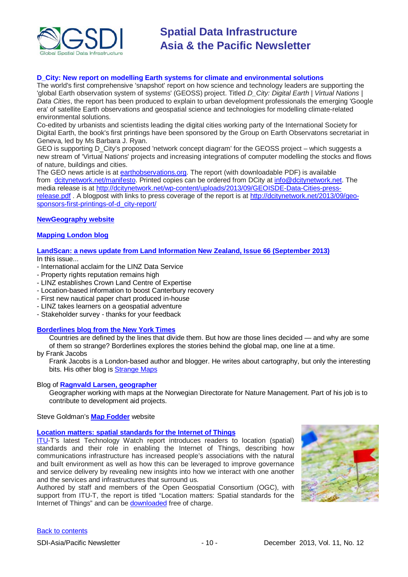

#### **D\_City: New report on modelling Earth systems for climate and environmental solutions**

The world's first comprehensive 'snapshot' report on how science and technology leaders are supporting the 'global Earth observation system of systems' (GEOSS) project. Titled *D\_City: Digital Earth | Virtual Nations | Data Cities*, the report has been produced to explain to urban development professionals the emerging 'Google era' of satellite Earth observations and geospatial science and technologies for modelling climate-related environmental solutions.

Co-edited by urbanists and scientists leading the digital cities working party of the International Society for Digital Earth, the book's first printings have been sponsored by the Group on Earth Observatons secretariat in Geneva, led by Ms Barbara J. Ryan.

GEO is supporting D\_City's proposed 'network concept diagram' for the GEOSS project – which suggests a new stream of 'Virtual Nations' projects and increasing integrations of computer modelling the stocks and flows of nature, buildings and cities.

The GEO news article is at [earthobservations.org.](http://earthobservations.org/) The report (with downloadable PDF) is available from [dcitynetwork.net/manifesto.](http://dcitynetwork.net/manifesto) Printed copies can be ordered from DCity at [info@dcitynetwork.net.](mailto:info@dcitynetwork.net) The media release is at [http://dcitynetwork.net/wp-content/uploads/2013/09/GEOISDE-Data-Cities-press](http://dcitynetwork.net/wp-content/uploads/2013/09/GEOISDE-Data-Cities-press-release.pdf)[release.pdf](http://dcitynetwork.net/wp-content/uploads/2013/09/GEOISDE-Data-Cities-press-release.pdf) . A blogpost with links to press coverage of the report is at [http://dcitynetwork.net/2013/09/geo](http://dcitynetwork.net/2013/09/geo-sponsors-first-printings-of-d_city-report/)[sponsors-first-printings-of-d\\_city-report/](http://dcitynetwork.net/2013/09/geo-sponsors-first-printings-of-d_city-report/)

#### **[NewGeography website](http://www.newgeography.com/)**

#### **[Mapping London blog](http://mappinglondon.co.uk/)**

#### **[LandScan: a news update from Land Information New Zealand, Issue 66](http://www.linz.govt.nz/sites/default/files/docs/supporting-info/about-linz/publications/landscan-201303.pdf) (September 2013)**

In this issue...

- International acclaim for the LINZ Data Service
- Property rights reputation remains high
- LINZ establishes Crown Land Centre of Expertise
- Location-based information to boost Canterbury recovery
- First new nautical paper chart produced in-house
- LINZ takes learners on a geospatial adventure
- Stakeholder survey thanks for your feedback

#### **[Borderlines blog from the New York Times](http://opinionator.blogs.nytimes.com/category/borderlines/)**

Countries are defined by the lines that divide them. But how are those lines decided — and why are some of them so strange? Borderlines explores the stories behind the global map, one line at a time.

by Frank Jacobs

Frank Jacobs is a London-based author and blogger. He writes about cartography, but only the interesting bits. His other blog is [Strange Maps](http://bigthink.com/blogs/strange-maps)

#### Blog of **[Ragnvald Larsen, geographer](http://www.mindland.com/wp/)**

Geographer working with maps at the Norwegian Directorate for Nature Management. Part of his job is to contribute to development aid projects.

Steve Goldman's **[Map Fodder](http://www.mapfodder.com/index.html)** website

#### **[Location matters: spatial standards for the Internet of Things](http://www.itu.int/dms_pub/itu-t/oth/23/01/T23010000210001PDFE.pdf)**

[ITU-](http://newslog.itu.int/archives/148)T's latest Technology Watch report introduces readers to location (spatial) standards and their role in enabling the Internet of Things, describing how communications infrastructure has increased people's associations with the natural and built environment as well as how this can be leveraged to improve governance and service delivery by revealing new insights into how we interact with one another and the services and infrastructures that surround us.

Authored by staff and members of the Open Geospatial Consortium (OGC), with support from ITU-T, the report is titled "Location matters: Spatial standards for the Internet of Things" and can be **downloaded** free of charge.

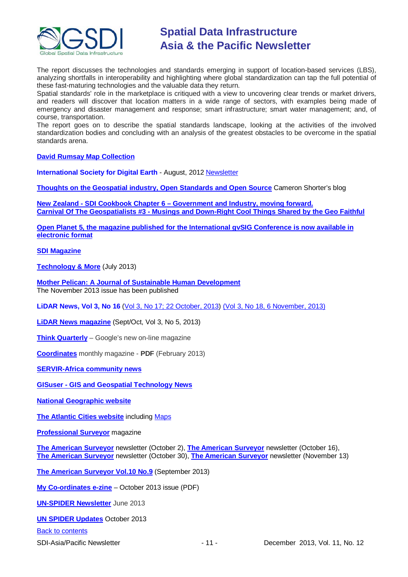

The report discusses the technologies and standards emerging in support of location-based services (LBS), analyzing shortfalls in interoperability and highlighting where global standardization can tap the full potential of these fast-maturing technologies and the valuable data they return.

Spatial standards' role in the marketplace is critiqued with a view to uncovering clear trends or market drivers, and readers will discover that location matters in a wide range of sectors, with examples being made of emergency and disaster management and response; smart infrastructure; smart water management; and, of course, transportation.

The report goes on to describe the spatial standards landscape, looking at the activities of the involved standardization bodies and concluding with an analysis of the greatest obstacles to be overcome in the spatial standards arena.

**[David Rumsay Map Collection](http://www.davidrumsey.com/)**

**International Society for Digital Earth** - August, 2012 [Newsletter](http://www.digitalearth-isde.org/news/isde-newsletter(201208).html)

**[Thoughts on the Geospatial industry, Open Standards and Open Source](http://cameronshorter.blogspot.com/2011/06/memoirs-of-cat-herder-coordinating.html)** Cameron Shorter's blog

**New Zealand - SDI Cookbook Chapter 6 – [Government and Industry, moving forward.](http://www.geospatial.govt.nz/sdi-cookbook-chapter-6-government-and-industry-moving-forward) Carnival Of The Geospatialists #3 - [Musings and Down-Right Cool Things Shared by the Geo Faithful](http://www.gisuser.com/content/view/25690/28/)**

**[Open Planet 5, the magazine published for the International gvSIG Conference is now available in](http://jornadas.gvsig.org/descargas/magazine)  [electronic format](http://jornadas.gvsig.org/descargas/magazine)**

**[SDI Magazine](http://www.sdimag.com/)**

**[Technology & More](http://www.trimble.com/technologyandmore/i2-2013/)** (July 2013)

**[Mother Pelican: A Journal of Sustainable Human Development](http://www.pelicanweb.org/solisustv09n11page1.html)** The November 2013 issue has been published

**LiDAR News, Vol 3, No 16** [\(Vol 3, No 17; 22 October, 2013\)](http://www.lidarnews.com/newsletter/Vol3No17.htm) (Vol [3, No 18, 6 November, 2013\)](http://www.lidarnews.com/newsletter/Vol3No18.htm)

**[LiDAR News magazine](http://lidarnews.com/emag/2013/vol3no5/index.html)** (Sept/Oct, Vol 3, No 5, 2013)

**[Think Quarterly](http://thinkquarterly.co.uk/#aboutthebook)** – Google's new on-line magazine

**[Coordinates](http://mycoordinates.org/pdf/feb13.pdf)** monthly magazine - **PDF** (February 2013)

**[SERVIR-Africa community news](http://www.servirglobal.net/africa/en/News/CommunityNews.aspx)**

**GISuser - [GIS and Geospatial Technology News](http://www.gisuser.com/)**

**[National Geographic website](http://www.nationalgeographic.com/)**

**[The Atlantic Cities website](http://www.theatlanticcities.com/)** including [Maps](http://www.theatlanticcities.com/posts/map/)

**[Professional Surveyor](http://www.profsurv.com/)** magazine

**[The American Surveyor](http://www.amerisurv.com/newsletter/02OCT2013.htm)** newsletter (October 2), **[The American Surveyor](http://www.amerisurv.com/newsletter/16OCT2013.htm)** newsletter (October 16), **[The American Surveyor](http://www.amerisurv.com/newsletter/30OCT2013.htm)** newsletter (October 30), **[The American Surveyor](http://www.amerisurv.com/newsletter/13NOV2013.htm)** newsletter (November 13)

**[The American Surveyor Vol.10 No.9](http://amerisurv.com/emag/2013/vol10no9/index.html)** (September 2013)

**[My Co-ordinates e-zine](http://mycoordinates.org/pdf/oct13.pdf)** – October 2013 issue (PDF)

**[UN-SPIDER](http://www.un-spider.org/about/newsletter/un-spider-newsletter-213-earth-observation-disaster-response) Newsletter** June 2013

**[UN SPIDER Updates](http://www.un-spider.org/about/updates/un-spider-updates-may-2013)** October 2013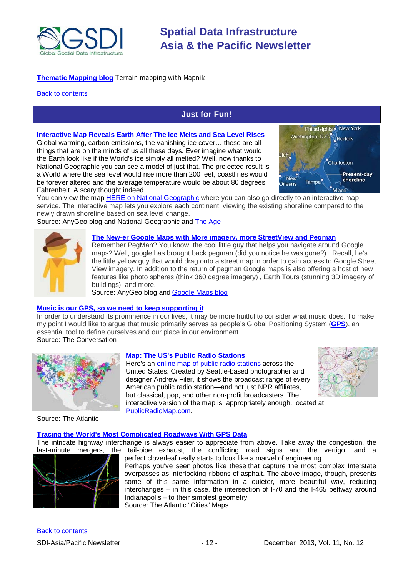

### **[Thematic Mapping blog](http://blog.thematicmapping.org/)** Terrain mapping with Mapnik

#### <span id="page-11-0"></span>**[Back to contents](#page-0-0)**

# **Just for Fun!**

**[Interactive Map Reveals Earth After The Ice Melts and Sea Level Rises](http://blog.gisuser.com/2013/11/07/amazing-interactive-map-reveals-earth-after-the-ice-melts-and-sea-level-rises/)**

Global warming, carbon emissions, the vanishing ice cover… these are all things that are on the minds of us all these days. Ever imagine what would the Earth look like if the World's ice simply all melted? Well, now thanks to National Geographic you can see a model of just that. The projected result is a World where the sea level would rise more than 200 feet, coastlines would be forever altered and the average temperature would be about 80 degrees Fahrenheit. A scary thought indeed…



You can view the map HERE [on National Geographic](http://ngm.nationalgeographic.com/2013/09/rising-seas/if-ice-melted-map) where you can also go directly to an interactive map service. The interactive map lets you explore each continent, viewing the existing shoreline compared to the newly drawn shoreline based on sea level change.

Source: AnyGeo blog and National Geographic and [The Age](http://www.theage.com.au/national/australia-forecast-to-develop-inland-sea-in-national-geographic-global-warming-scenario-20131107-2x4ea.html)



#### **[The New-er Google Maps with More imagery, more StreetView and Pegman](http://blog.gisuser.com/2013/11/08/the-new-er-google-maps-with-more-imagery-more-streetview-and-pegman/)**

Remember PegMan? You know, the cool little guy that helps you navigate around Google maps? Well, google has brought back pegman (did you notice he was gone?) . Recall, he's the little yellow guy that would drag onto a street map in order to gain access to Google Street View imagery. In addition to the return of pegman Google maps is also offering a host of new features like photo spheres (think 360 degree imagery) , Earth Tours (stunning 3D imagery of buildings), and more.

Source: AnyGeo blog and [Google Maps blog](http://google-latlong.blogspot.ca/2013/11/from-where-you-are-to-where-you-want-to.html)

#### **[Music is our GPS, so we need to keep supporting](http://theconversation.com/music-is-our-gps-so-we-need-to-keep-supporting-it-19540?utm_medium=email&utm_campaign=Latest+from+The+Conversation+for+20+November+2013&utm_content=Latest+from+The+Conversation+for+20+November+2013+CID_3522ab91e513ac9d36e3c1232df) it**

In order to understand its prominence in our lives, it may be more fruitful to consider what music does. To make my point I would like to argue that music primarily serves as people's Global Positioning System (**[GPS](https://theconversation.com/explainer-what-is-gps-12248)**), an essential tool to define ourselves and our place in our environment. Source: The Conversation



**[Map: The US's Public Radio Stations](http://www.theatlantic.com/technology/archive/2013/11/map-the-nations-public-radio-stations/281716/)**

Here's an [online map of public radio stations](http://publicradiomap.com/) across the United States. Created by Seattle-based photographer and designer Andrew Filer, it shows the broadcast range of every American public radio station—and not just NPR affiliates, but classical, pop, and other non-profit broadcasters. The interactive version of the map is, appropriately enough, located at [PublicRadioMap.com.](http://publicradiomap.com/)



Source: The Atlantic

#### **[Tracing the World's Most Complicated Roadways With GPS Data](http://www.theatlanticcities.com/commute/2013/11/tracing-worlds-most-complicated-roadways-gps-data/7692/)**

The intricate highway interchange is always easier to appreciate from above. Take away the congestion, the lail-pipe exhaust, the conflicting road signs and the vertigo, and a the tail-pipe exhaust, the conflicting road signs and the vertigo, and a



perfect cloverleaf really starts to look like a marvel of engineering. Perhaps you've seen photos like these that capture the most complex Interstate overpasses as interlocking ribbons of asphalt. The above image, though, presents some of this same information in a quieter, more beautiful way, reducing interchanges – in this case, the intersection of I-70 and the I-465 beltway around Indianapolis – to their simplest geometry. Source: The Atlantic "Cities" Maps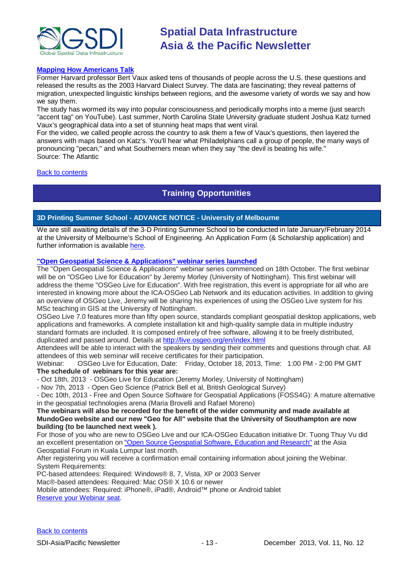

#### **[Mapping How Americans Talk](http://www.theatlantic.com/video/archive/2013/11/soda-vs-pop-vs-coke-mapping-how-americans-talk/281808/)**

Former Harvard professor Bert Vaux asked tens of thousands of people across the U.S. these questions and released the results as the 2003 Harvard Dialect Survey. The data are fascinating; they reveal patterns of migration, unexpected linguistic kinships between regions, and the awesome variety of words we say and how we say them.

The study has wormed its way into popular consciousness [a](http://www.myconfinedspace.com/wp-content/uploads/2006/12/pd-ad.jpg)nd periodically morphs into a meme (just search "accent tag" on YouTube). Last summer, North Carolina State University graduate student Joshua Katz turned Vaux's geographical data into a set of stunning heat maps that went viral.

For the video, we called people across the country to ask them a few of Vaux's questions, then layered the answers with maps based on Katz's. You'll hear what Philadelphians call a group of people, the many ways of pronouncing "pecan," and what Southerners mean when they say "the devil is beating his wife." Source: The Atlantic

#### <span id="page-12-0"></span>[Back to contents](#page-0-0)

# **Training Opportunities**

#### **3D Printing Summer School - ADVANCE NOTICE - University of Melbourne**

We are still awaiting details of the 3-D Printing Summer School to be conducted in late January/February 2014 at the University of Melbourne's School of Engineering. An Application Form (& Scholarship application) and further information is available [here.](https://docs.google.com/forms/d/1-OeGdcuFI5EI652HLRCSCNMFQVeriBG3Y7iMr4m7fhA/viewform)

### **"Open Geospatial Science & Applications" webinar series launched**

The "Open Geospatial Science & Applications" webinar series commenced on 18th October. The first webinar will be on "OSGeo Live for Education" by Jeremy Morley (University of Nottingham). This first webinar will address the theme "OSGeo Live for Education". With free registration, this event is appropriate for all who are interested in knowing more about the ICA-OSGeo Lab Network and its education activities. In addition to giving an overview of OSGeo Live, Jeremy will be sharing his experiences of using the OSGeo Live system for his MSc teaching in GIS at the University of Nottingham.

OSGeo Live 7.0 features more than fifty open source, standards compliant geospatial desktop applications, web applications and frameworks. A complete installation kit and high-quality sample data in multiple industry standard formats are included. It is composed entirely of free software, allowing it to be freely distributed, duplicated and passed around. Details at <http://live.osgeo.org/en/index.html>

Attendees will be able to interact with the speakers by sending their comments and questions through chat. All attendees of this web seminar will receive certificates for their participation.

Webinar: OSGeo Live for Education, Date: Friday, October 18, 2013, Time: 1:00 PM - 2:00 PM GMT **The schedule of webinars for this year are:**

- Oct 18th, 2013 - OSGeo Live for Education (Jeremy Morley, University of Nottingham)

- Nov 7th, 2013 - Open Geo Science (Patrick Bell et al, British Geological Survey)

- Dec 10th, 2013 - Free and Open Source Software for Geospatial Applications (FOSS4G): A mature alternative in the geospatial technologies arena (Maria Brovelli and Rafael Moreno)

#### **The webinars will also be recorded for the benefit of the wider community and made available at MundoGeo website and our new "Geo for All" website that the University of Southampton are now building (to be launched next week ).**

For those of you who are new to OSGeo Live and our ICA-OSGeo Education initiative Dr. Tuong Thuy Vu did an excellent presentation on "Open Source [Geospatial Software, Education and Research"](http://prezi.com/hv18xf8_wolq/?utm_campaign=share&utm_medium=copy) at the Asia Geospatial Forum in Kuala Lumpur last month.

After registering you will receive a confirmation email containing information about joining the Webinar. System Requirements:

PC-based attendees: Required: Windows® 8, 7, Vista, XP or 2003 Server

Mac®-based attendees: Required: Mac OS® X 10.6 or newer

Mobile attendees: Required: iPhone®, iPad®, Android™ phone or Android tablet [Reserve your Webinar seat.](https://www2.gotomeeting.com/register/446065050)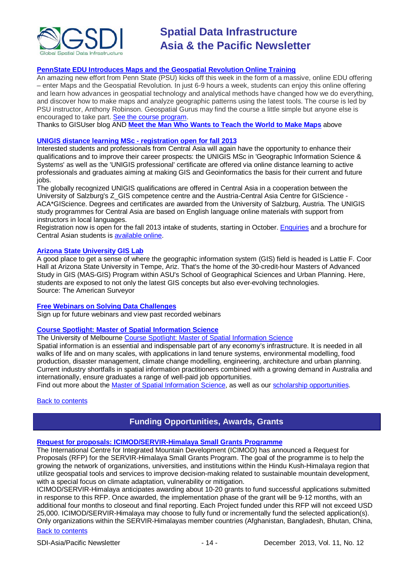

#### **[PennState EDU Introduces Maps and the Geospatial](http://blog.gisuser.com/2013/07/16/pennstate-edu-introduces-maps-and-the-geospatial-revolution-online-training/) Revolution Online Training**

An amazing new effort from Penn State (PSU) kicks off this week in the form of a massive, online EDU offering – enter Maps and the Geospatial Revolution. In just 6-9 hours a week, students can enjoy this online offering and learn how advances in geospatial technology and analytical methods have changed how we do everything, and discover how to make maps and analyze geographic patterns using the latest tools. The course is led by PSU instructor, Anthony Robinson. Geospatial Gurus may find the course a little simple but anyone else is encouraged to take part. [See the course program.](https://www.coursera.org/course/maps)

Thanks to GISUser blog AND **[Meet the Man Who Wants to Teach the World to Make Maps](#page-11-0)** above

#### **[UNIGIS distance learning MSc -](http://acagisc.blogspot.com/2013/06/unigis-distance-learning-msc.html) registration open for fall 2013**

Interested students and professionals from Central Asia will again have the opportunity to enhance their qualifications and to improve their career prospects: the UNIGIS MSc in 'Geographic Information Science & Systems' as well as the 'UNIGIS professional' certificate are offered via online distance learning to active professionals and graduates aiming at making GIS and Geoinformatics the basis for their current and future jobs.

The globally recognized UNIGIS qualifications are offered in Central Asia in a cooperation between the University of Salzburg's Z\_GIS competence centre and the Austria-Central Asia Centre for GIScience - ACA\*GIScience. Degrees and certificates are awarded from the University of Salzburg, Austria. The UNIGIS study programmes for Central Asia are based on English language online materials with support from instructors in local languages.

Registration now is open for the fall 2013 intake of students, starting in October. [Enquiries](mailto:unigis@aca-giscience.org) and a brochure for Central Asian students is **available online**.

#### **[Arizona State University](http://www.amerisurv.com/content/view/11050/153/) GIS Lab**

A good place to get a sense of where the geographic information system (GIS) field is headed is Lattie F. Coor Hall at Arizona State University in Tempe, Ariz. That's the home of the 30-credit-hour Masters of Advanced Study in GIS (MAS-GIS) Program within ASU's School of Geographical Sciences and Urban Planning. Here, students are exposed to not only the latest GIS concepts but also ever-evolving technologies. Source: The American Surveyor

#### **[Free Webinars on Solving Data Challenges](http://www.safe.com/learning/webinars/)**

Sign up for future webinars and view past recorded webinars

#### **[Course Spotlight: Master of Spatial Information Science](http://themelbourneengineer.eng.unimelb.edu.au/2012/02/course-spotlight-master-of-spatial-information-science/)**

The University of Melbourne [Course Spotlight: Master of Spatial Information Science](http://themelbourneengineer.eng.unimelb.edu.au/2012/02/course-spotlight-master-of-spatial-information-science/)

Spatial information is an essential and indispensable part of any economy's infrastructure. It is needed in all walks of life and on many scales, with applications in land tenure systems, environmental modelling, food production, disaster management, climate change modelling, engineering, architecture and urban planning. Current industry shortfalls in spatial information practitioners combined with a growing demand in Australia and internationally, ensure graduates a range of well-paid job opportunities.

Find out more about the [Master of Spatial Information Science,](http://www.msi.unimelb.edu.au/study/graduate/master-of-spatial-information-science/) as well as our [scholarship opportunities.](http://www.eng.unimelb.edu.au/study/graduate/scholarships.html)

#### <span id="page-13-0"></span>**[Back to contents](#page-0-0)**

## **Funding Opportunities, Awards, Grants**

#### **[Request for proposals: ICIMOD/SERVIR-Himalaya Small Grants Programme](http://www.icimod.org/?q=11833)**

The International Centre for Integrated Mountain Development (ICIMOD) has announced a Request for Proposals (RFP) for the SERVIR-Himalaya Small Grants Program. The goal of the programme is to help the growing the network of organizations, universities, and institutions within the Hindu Kush-Himalaya region that utilize geospatial tools and services to improve decision-making related to sustainable mountain development, with a special focus on climate adaptation, vulnerability or mitigation.

ICIMOD/SERVIR-Himalaya anticipates awarding about 10-20 grants to fund successful applications submitted in response to this RFP. Once awarded, the implementation phase of the grant will be 9-12 months, with an additional four months to closeout and final reporting. Each Project funded under this RFP will not exceed USD 25,000. ICIMOD/SERVIR-Himalaya may choose to fully fund or incrementally fund the selected application(s). Only organizations within the SERVIR-Himalayas member countries (Afghanistan, Bangladesh, Bhutan, China,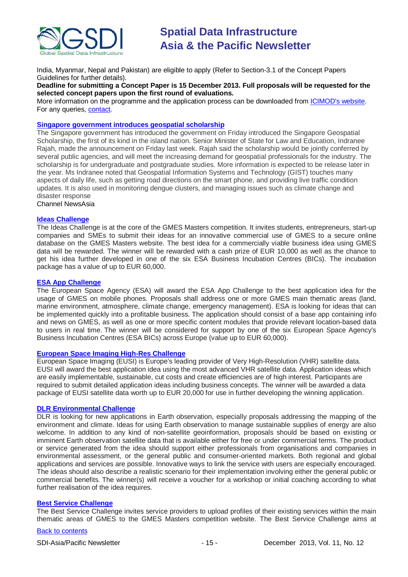

India, Myanmar, Nepal and Pakistan) are eligible to apply (Refer to Section-3.1 of the Concept Papers Guidelines for further details).

**Deadline for submitting a Concept Paper is 15 December 2013. Full proposals will be requested for the selected concept papers upon the first round of evaluations.**

More information on the programme and the application process can be downloaded from [ICIMOD's website.](http://www.icimod.org/resource/11942) For any queries, [contact.](mailto:sgp_servir@icimod.org)

#### **[Singapore government introduces geospatial scholarship](http://www.channelnewsasia.com/news/singapore/government-introduces/763842.html)**

The Singapore government has introduced the government on Friday introduced the Singapore Geospatial Scholarship, the first of its kind in the island nation. Senior Minister of State for Law and Education, Indranee Rajah, made the announcement on Friday last week. Rajah said the scholarship would be jointly conferred by several public agencies, and will meet the increasing demand for geospatial professionals for the industry. The scholarship is for undergraduate and postgraduate studies. More information is expected to be release later in the year. Ms Indranee noted that Geospatial Information Systems and Technology (GIST) touches many aspects of daily life, such as getting road directions on the smart phone, and providing live traffic condition updates. It is also used in monitoring dengue clusters, and managing issues such as climate change and disaster response

Channel NewsAsia

#### **[Ideas Challenge](http://www.gmes-masters.com/ideas-challenge)**

The Ideas Challenge is at the core of the GMES Masters competition. It invites students, entrepreneurs, start-up companies and SMEs to submit their ideas for an innovative commercial use of GMES to a secure online database on the GMES Masters website. The best idea for a commercially viable business idea using GMES data will be rewarded. The winner will be rewarded with a cash prize of EUR 10,000 as well as the chance to get his idea further developed in one of the six ESA Business Incubation Centres (BICs). The incubation package has a value of up to EUR 60,000.

#### **[ESA App Challenge](http://www.gmes-masters.com/esa-app-challenge)**

The European Space Agency (ESA) will award the ESA App Challenge to the best application idea for the usage of GMES on mobile phones. Proposals shall address one or more GMES main thematic areas (land, marine environment, atmosphere, climate change, emergency management). ESA is looking for ideas that can be implemented quickly into a profitable business. The application should consist of a base app containing info and news on GMES, as well as one or more specific content modules that provide relevant location-based data to users in real time. The winner will be considered for support by one of the six European Space Agency's Business Incubation Centres (ESA BICs) across Europe (value up to EUR 60,000).

#### **[European Space Imaging High-Res Challenge](http://www.gmes-masters.com/european-space-0)**

European Space Imaging (EUSI) is Europe's leading provider of Very High-Resolution (VHR) satellite data. EUSI will award the best application idea using the most advanced VHR satellite data. Application ideas which are easily implementable, sustainable, cut costs and create efficiencies are of high interest. Participants are required to submit detailed application ideas including business concepts. The winner will be awarded a data package of EUSI satellite data worth up to EUR 20,000 for use in further developing the winning application.

#### **[DLR Environmental Challenge](http://www.gmes-masters.com/dlr-environmental)**

DLR is looking for new applications in Earth observation, especially proposals addressing the mapping of the environment and climate. Ideas for using Earth observation to manage sustainable supplies of energy are also welcome. In addition to any kind of non-satellite geoinformation, proposals should be based on existing or imminent Earth observation satellite data that is available either for free or under commercial terms. The product or service generated from the idea should support either professionals from organisations and companies in environmental assessment, or the general public and consumer-oriented markets. Both regional and global applications and services are possible. Innovative ways to link the service with users are especially encouraged. The ideas should also describe a realistic scenario for their implementation involving either the general public or commercial benefits. The winner(s) will receive a voucher for a workshop or initial coaching according to what further realisation of the idea requires.

#### **[Best Service Challenge](http://www.gmes-masters.com/best-service)**

The Best Service Challenge invites service providers to upload profiles of their existing services within the main thematic areas of GMES to the GMES Masters competition website. The Best Service Challenge aims at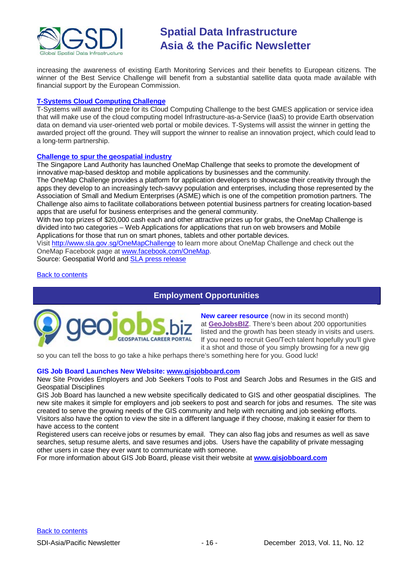

increasing the awareness of existing Earth Monitoring Services and their benefits to European citizens. The winner of the Best Service Challenge will benefit from a substantial satellite data quota made available with financial support by the European Commission.

#### **[T-Systems Cloud Computing Challenge](http://www.gmes-masters.com/t-systems-cloud)**

T-Systems will award the prize for its Cloud Computing Challenge to the best GMES application or service idea that will make use of the cloud computing model Infrastructure-as-a-Service (IaaS) to provide Earth observation data on demand via user-oriented web portal or mobile devices. T-Systems will assist the winner in getting the awarded project off the ground. They will support the winner to realise an innovation project, which could lead to a long-term partnership.

#### **[Challenge to spur the geospatial industry](http://geospatialworld.net/index.php?option=com_content&view=article&id=23850:challenge-to-spur-the-geospatial-industry&catid=75:miscellaneous-events)**

The Singapore Land Authority has launched OneMap Challenge that seeks to promote the development of innovative map-based desktop and mobile applications by businesses and the community.

The OneMap Challenge provides a platform for application developers to showcase their creativity through the apps they develop to an increasingly tech-savvy population and enterprises, including those represented by the Association of Small and Medium Enterprises (ASME) which is one of the competition promotion partners. The Challenge also aims to facilitate collaborations between potential business partners for creating location-based apps that are useful for business enterprises and the general community.

With two top prizes of \$20,000 cash each and other attractive prizes up for grabs, the OneMap Challenge is divided into two categories – Web Applications for applications that run on web browsers and Mobile Applications for those that run on smart phones, tablets and other portable devices.

Visit <http://www.sla.gov.sg/OneMapChallenge> to learn more about OneMap Challenge and check out the OneMap Facebook page at [www.facebook.com/OneMap.](http://www.facebook.com/OneMap)

Source: Geospatial World and [SLA press release](http://www.sla.gov.sg/htm/new/new2012/new0401.htm)

#### <span id="page-15-0"></span>[Back to contents](#page-0-0)

# **Employment Opportunities**



**New career resource** (now in its second month) at **[GeoJobsBIZ](http://geojobs.biz/)**. There's been about 200 opportunities listed and the growth has been steady in visits and users. If you need to recruit Geo/Tech talent hopefully you'll give it a shot and those of you simply browsing for a new gig

so you can tell the boss to go take a hike perhaps there's something here for you. Good luck!

#### **GIS Job Board Launches New Website: [www.gisjobboard.com](http://www.gisjobboard.com/)**

New Site Provides Employers and Job Seekers Tools to Post and Search Jobs and Resumes in the GIS and Geospatial Disciplines

GIS Job Board has launched a new website specifically dedicated to GIS and other geospatial disciplines. The new site makes it simple for employers and job seekers to post and search for jobs and resumes. The site was created to serve the growing needs of the GIS community and help with recruiting and job seeking efforts. Visitors also have the option to view the site in a different language if they choose, making it easier for them to have access to the content

Registered users can receive jobs or resumes by email. They can also flag jobs and resumes as well as save searches, setup resume alerts, and save resumes and jobs. Users have the capability of private messaging other users in case they ever want to communicate with someone.

For more information about GIS Job Board, please visit their website at **[www.gisjobboard.com](http://www.gisjobboard.com/)**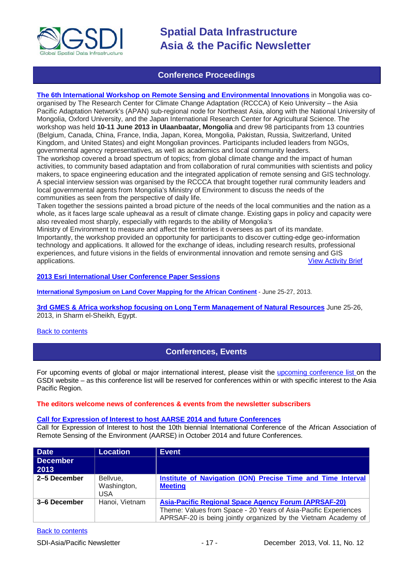

### **Conference Proceedings**

<span id="page-16-0"></span>**[The 6th International Workshop on Remote Sensing and Environmental Innovations](http://www.asiapacificadapt.net/resource/activity-brief-6th-international-workshop-remote-sensing-and-environmental-innovations)** in Mongolia was coorganised by The Research Center for Climate Change Adaptation (RCCCA) of Keio University – the Asia Pacific Adaptation Network's (APAN) sub-regional node for Northeast Asia, along with the National University of Mongolia, Oxford University, and the Japan International Research Center for Agricultural Science. The workshop was held **10-11 June 2013 in Ulaanbaatar, Mongolia** and drew 98 participants from 13 countries (Belgium, Canada, China, France, India, Japan, Korea, Mongolia, Pakistan, Russia, Switzerland, United Kingdom, and United States) and eight Mongolian provinces. Participants included leaders from NGOs, governmental agency representatives, as well as academics and local community leaders. The workshop covered a broad spectrum of topics; from global climate change and the impact of human

activities, to community based adaptation and from collaboration of rural communities with scientists and policy makers, to space engineering education and the integrated application of remote sensing and GIS technology. A special interview session was organised by the RCCCA that brought together rural community leaders and local governmental agents from Mongolia's Ministry of Environment to discuss the needs of the communities as seen from the perspective of daily life.

Taken together the sessions painted a broad picture of the needs of the local communities and the nation as a whole, as it faces large scale upheaval as a result of climate change. Existing gaps in policy and capacity were also revealed most sharply, especially with regards to the ability of Mongolia's

Ministry of Environment to measure and affect the territories it oversees as part of its mandate. Importantly, the workshop provided an opportunity for participants to discover cutting-edge geo-information technology and applications. It allowed for the exchange of ideas, including research results, professional experiences, and future visions in the fields of environmental innovation and remote sensing and GIS applications. [View Activity Brief](http://www.apan-gan.net/sites/default/files/resource/attach/201310_APAN%20Activity%20Brief_KEIO%20RCCCA_Mongolia%20Workshop_fnl.pdf)

**[2013 Esri International User Conference Paper Sessions](http://proceedings.esri.com/library/userconf/proc13/index.html)**

**[International Symposium on Land Cover Mapping for the African Continent](http://data.ess.tsinghua.edu.cn/ISLandCoverAfrica.html)** - June 25-27, 2013.

**3rd [GMES & Africa workshop focusing on Long Term Management of Natural Resources](http://capacity4dev.ec.europa.eu/africa-eu-part.gmes/minisite/3-long-term-management-natural-resources-workshop)** June 25-26, 2013, in Sharm el-Sheikh, Egypt.

#### <span id="page-16-1"></span>**[Back to contents](#page-0-0)**

## **Conferences, Events**

For upcoming events of global or major international interest, please visit the [upcoming conference list o](http://gsdi.org/events/upcnf.asp)n the GSDI website – as this conference list will be reserved for conferences within or with specific interest to the Asia Pacific Region.

#### **The editors welcome news of conferences & events from the newsletter subscribers**

#### **[Call for Expression of Interest to host AARSE 2014 and future Conferences](http://lists.gsdi.org/pipermail/sdi-africa/2010-November/001135.html)**

Call for Expression of Interest to host the 10th biennial International Conference of the African Association of Remote Sensing of the Environment (AARSE) in October 2014 and future Conferences.

| <b>Date</b>      | <b>Location</b>                | <b>Event</b>                                                                                                                                                                                     |
|------------------|--------------------------------|--------------------------------------------------------------------------------------------------------------------------------------------------------------------------------------------------|
| December<br>2013 |                                |                                                                                                                                                                                                  |
| 2-5 December     | Bellvue.<br>Washington,<br>USA | Institute of Navigation (ION) Precise Time and Time Interval<br><b>Meeting</b>                                                                                                                   |
| 3–6 December     | Hanoi, Vietnam                 | <b>Asia-Pacific Regional Space Agency Forum (APRSAF-20)</b><br>Theme: Values from Space - 20 Years of Asia-Pacific Experiences<br>APRSAF-20 is being jointly organized by the Vietnam Academy of |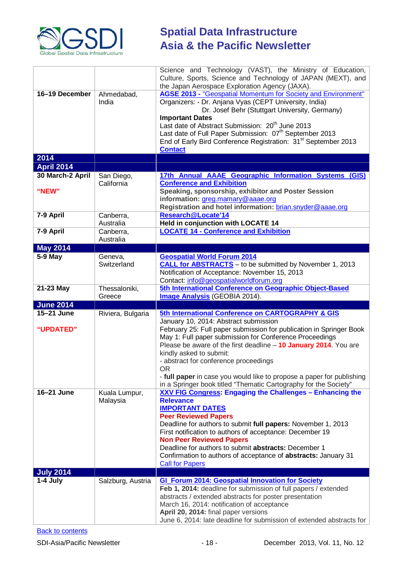

|                              |                           | Science and Technology (VAST), the Ministry of Education,<br>Culture, Sports, Science and Technology of JAPAN (MEXT), and<br>the Japan Aerospace Exploration Agency (JAXA).                                                                                                                                                                                                                                                                                                                                                                                                                            |
|------------------------------|---------------------------|--------------------------------------------------------------------------------------------------------------------------------------------------------------------------------------------------------------------------------------------------------------------------------------------------------------------------------------------------------------------------------------------------------------------------------------------------------------------------------------------------------------------------------------------------------------------------------------------------------|
| 16-19 December               | Ahmedabad,<br>India       | <b>AGSE 2013 - "Geospatial Momentum for Society and Environment"</b><br>Organizers: - Dr. Anjana Vyas (CEPT University, India)<br>Dr. Josef Behr (Stuttgart University, Germany)<br><b>Important Dates</b><br>Last date of Abstract Submission: 20 <sup>th</sup> June 2013<br>Last date of Full Paper Submission: 07th September 2013<br>End of Early Bird Conference Registration: 31 <sup>st</sup> September 2013<br><b>Contact</b>                                                                                                                                                                  |
| 2014                         |                           |                                                                                                                                                                                                                                                                                                                                                                                                                                                                                                                                                                                                        |
| <b>April 2014</b>            |                           |                                                                                                                                                                                                                                                                                                                                                                                                                                                                                                                                                                                                        |
| 30 March-2 April             | San Diego,<br>California  | 17th Annual AAAE Geographic Information Systems (GIS)<br><b>Conference and Exhibition</b>                                                                                                                                                                                                                                                                                                                                                                                                                                                                                                              |
| "NEW"                        |                           | Speaking, sponsorship, exhibitor and Poster Session<br>information: greg.mamary@aaae.org<br>Registration and hotel information: brian.snyder@aaae.org                                                                                                                                                                                                                                                                                                                                                                                                                                                  |
| 7-9 April                    | Canberra,<br>Australia    | Research@Locate'14<br>Held in conjunction with LOCATE 14                                                                                                                                                                                                                                                                                                                                                                                                                                                                                                                                               |
| 7-9 April                    | Canberra,<br>Australia    | <b>LOCATE 14 - Conference and Exhibition</b>                                                                                                                                                                                                                                                                                                                                                                                                                                                                                                                                                           |
| <b>May 2014</b>              |                           |                                                                                                                                                                                                                                                                                                                                                                                                                                                                                                                                                                                                        |
| 5-9 May                      | Geneva,<br>Switzerland    | <b>Geospatial World Forum 2014</b><br><b>CALL for ABSTRACTS</b> - to be submitted by November 1, 2013<br>Notification of Acceptance: November 15, 2013<br>Contact: info@geospatialworldforum.org                                                                                                                                                                                                                                                                                                                                                                                                       |
| 21-23 May                    | Thessaloniki,             | 5th International Conference on Geographic Object-Based                                                                                                                                                                                                                                                                                                                                                                                                                                                                                                                                                |
|                              | Greece                    | <b>Image Analysis</b> (GEOBIA 2014).                                                                                                                                                                                                                                                                                                                                                                                                                                                                                                                                                                   |
| <b>June 2014</b>             |                           |                                                                                                                                                                                                                                                                                                                                                                                                                                                                                                                                                                                                        |
| 15-21 June<br>"UPDATED"      | Riviera, Bulgaria         | 5th International Conference on CARTOGRAPHY & GIS<br>January 10, 2014: Abstract submission<br>February 25: Full paper submission for publication in Springer Book<br>May 1: Full paper submission for Conference Proceedings<br>Please be aware of the first deadline $-10$ January 2014. You are<br>kindly asked to submit:<br>- abstract for conference proceedings<br><b>OR</b>                                                                                                                                                                                                                     |
| 16-21 June                   | Kuala Lumpur,<br>Malaysia | - full paper in case you would like to propose a paper for publishing<br>in a Springer book titled "Thematic Cartography for the Society"<br>XXV FIG Congress: Engaging the Challenges - Enhancing the<br><b>Relevance</b><br><b>IMPORTANT DATES</b><br><b>Peer Reviewed Papers</b><br>Deadline for authors to submit full papers: November 1, 2013<br>First notification to authors of acceptance: December 19<br><b>Non Peer Reviewed Papers</b><br>Deadline for authors to submit abstracts: December 1<br>Confirmation to authors of acceptance of abstracts: January 31<br><b>Call for Papers</b> |
| <b>July 2014</b><br>1-4 July | Salzburg, Austria         | <b>GI_Forum 2014: Geospatial Innovation for Society</b>                                                                                                                                                                                                                                                                                                                                                                                                                                                                                                                                                |